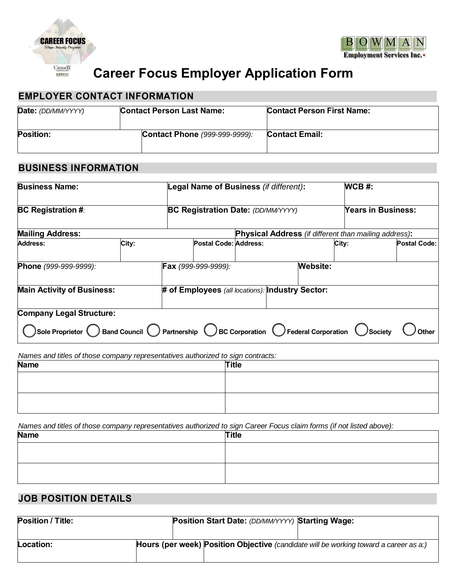

RONAN



# **Career Focus Employer Application Form**

#### **EMPLOYER CONTACT INFORMATION**

| Date: (DD/MM/YYYY) | <b>Contact Person Last Name:</b> | <b>Contact Person First Name:</b> |  |  |
|--------------------|----------------------------------|-----------------------------------|--|--|
| <b>Position:</b>   | Contact Phone (999-999-9999):    | <b>Contact Email:</b>             |  |  |

### **BUSINESS INFORMATION**

| <b>Business Name:</b><br><b>BC Registration #:</b>                                                                                                                            |       | Legal Name of Business (if different):    |                                                              |                 | $WCB$ #:           |                     |
|-------------------------------------------------------------------------------------------------------------------------------------------------------------------------------|-------|-------------------------------------------|--------------------------------------------------------------|-----------------|--------------------|---------------------|
|                                                                                                                                                                               |       | <b>BC Registration Date: (DD/MM/YYYY)</b> |                                                              |                 | Years in Business: |                     |
| <b>Mailing Address:</b>                                                                                                                                                       |       |                                           | <b>Physical Address</b> (if different than mailing address): |                 |                    |                     |
| Address:                                                                                                                                                                      | City: | Postal Code: Address:                     |                                                              |                 | City:              | <b>Postal Code:</b> |
| Phone (999-999-9999):                                                                                                                                                         |       | Fax (999-999-9999):                       |                                                              | <b>Website:</b> |                    |                     |
| <b>Main Activity of Business:</b>                                                                                                                                             |       |                                           | # of Employees (all locations): Industry Sector:             |                 |                    |                     |
| <b>Company Legal Structure:</b><br>Sole Proprietor $\bigcirc$ Band Council $\bigcirc$ Partnership $\bigcirc$ BC Corporation $\bigcirc$ Federal Corporation $\bigcirc$ Society |       |                                           |                                                              |                 |                    | <i>J</i> Other      |

*Names and titles of those company representatives authorized to sign contracts:*

| <b>Name</b> | <b>Title</b> |
|-------------|--------------|
|             |              |
|             |              |
|             |              |
|             |              |

*Names and titles of those company representatives authorized to sign Career Focus claim forms (if not listed above):*

| <b>Name</b> | <b>Title</b> |
|-------------|--------------|
|             |              |
|             |              |
|             |              |
|             |              |

### **JOB POSITION DETAILS**

| <b>Position / Title:</b> | <b>Position Start Date: (DD/MM/YYYY) Starting Wage:</b> |                                                                                              |
|--------------------------|---------------------------------------------------------|----------------------------------------------------------------------------------------------|
| Location:                |                                                         | <b>Hours (per week) Position Objective</b> (candidate will be working toward a career as a:) |